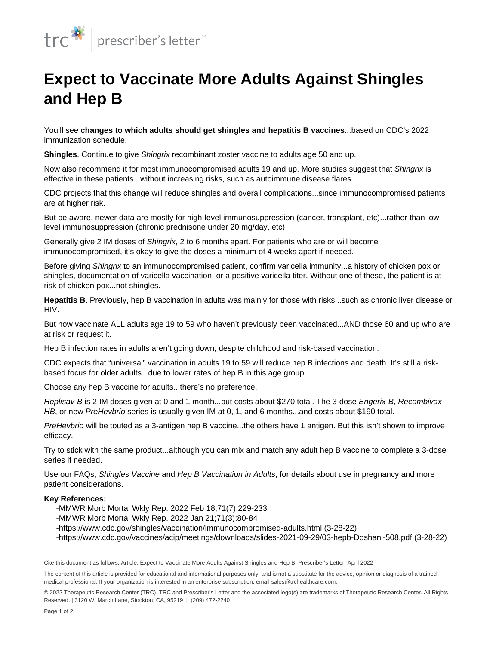

## **Expect to Vaccinate More Adults Against Shingles and Hep B**

You'll see **changes to which adults should get shingles and hepatitis B vaccines**...based on CDC's 2022 immunization schedule.

**Shingles**. Continue to give Shingrix recombinant zoster vaccine to adults age 50 and up.

Now also recommend it for most [immunocompromised](https://prescriber.therapeuticresearch.com/en/Content/Segments/PRL/2014/Feb/Vaccinating-Immunocompromised-Patients-6608) adults 19 and up. More studies suggest that Shingrix is effective in these patients...without increasing risks, such as autoimmune disease flares.

CDC projects that this change will reduce shingles and overall complications...since immunocompromised patients are at higher risk.

But be aware, newer data are mostly for high-level immunosuppression (cancer, transplant, etc)...rather than lowlevel immunosuppression (chronic prednisone under 20 mg/day, etc).

Generally give 2 IM doses of Shingrix, 2 to 6 months apart. For patients who are or will become immunocompromised, it's okay to give the doses a minimum of 4 weeks apart if needed.

Before giving Shingrix to an immunocompromised patient, confirm varicella immunity...a history of chicken pox or shingles, documentation of varicella vaccination, or a positive varicella titer. Without one of these, the patient is at risk of chicken pox...not shingles.

**Hepatitis B**. Previously, hep B vaccination in adults was mainly for those with risks...such as chronic liver disease or HIV.

But now vaccinate ALL adults age 19 to 59 who haven't previously been vaccinated...AND those 60 and up who are at risk or request it.

Hep B infection rates in adults aren't going down, despite childhood and risk-based vaccination.

CDC expects that "universal" vaccination in adults 19 to 59 will reduce hep B infections and death. It's still a riskbased focus for older adults...due to lower rates of hep B in this age group.

Choose any hep B vaccine for adults...there's no preference.

Heplisav-B is 2 IM doses given at 0 and 1 month...but costs about \$270 total. The 3-dose Engerix-B, Recombivax HB, or new PreHevbrio series is usually given IM at 0, 1, and 6 months...and costs about \$190 total.

PreHevbrio will be touted as a 3-antigen hep B vaccine...the others have 1 antigen. But this isn't shown to improve efficacy.

Try to stick with the same product...although you can mix and match any adult hep B vaccine to complete a 3-dose series if needed.

Use our FAQs, Shingles Vaccine and Hep B Vaccination in Adults, for details about use in pregnancy and more patient considerations.

## **Key References:**

- -MMWR Morb Mortal Wkly Rep. 2022 Feb 18;71(7):229-233
- -MMWR Morb Mortal Wkly Rep. 2022 Jan 21;71(3):80-84
- -https://www.cdc.gov/shingles/vaccination/immunocompromised-adults.html (3-28-22)
- -https://www.cdc.gov/vaccines/acip/meetings/downloads/slides-2021-09-29/03-hepb-Doshani-508.pdf (3-28-22)

Cite this document as follows: Article, Expect to Vaccinate More Adults Against Shingles and Hep B, Prescriber's Letter, April 2022

The content of this article is provided for educational and informational purposes only, and is not a substitute for the advice, opinion or diagnosis of a trained medical professional. If your organization is interested in an enterprise subscription, email sales@trchealthcare.com.

© 2022 Therapeutic Research Center (TRC). TRC and Prescriber's Letter and the associated logo(s) are trademarks of Therapeutic Research Center. All Rights Reserved. | 3120 W. March Lane, Stockton, CA, 95219 | (209) 472-2240